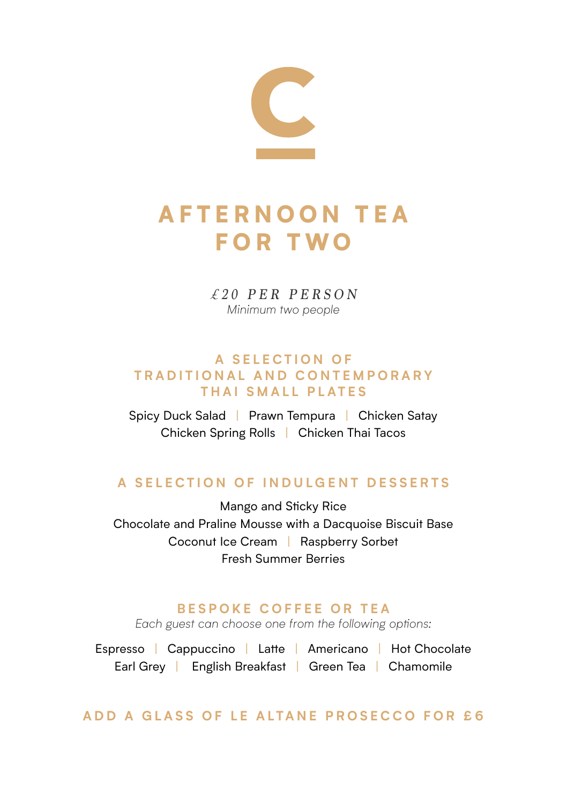

# A F T E R N O O N T E A FOR TWO

*£20 PER PERSON Minimum two people*

#### **A S E L E C T I O N O F T R A D I T I O N A L A N D C O N T E M P O R A R Y THAI SMALL PLATES**

Spicy Duck Salad | Prawn Tempura | Chicken Satay Chicken Spring Rolls | Chicken Thai Tacos

## **A SELECTION OF INDULGENT DESSERTS**

Mango and Sticky Rice Chocolate and Praline Mousse with a Dacquoise Biscuit Base Coconut Ice Cream | Raspberry Sorbet Fresh Summer Berries

#### **BESPOKE COFFEE OR TEA**

*Each guest can choose one from the following options:*

Espresso | Cappuccino | Latte | Americano | Hot Chocolate Earl Grey | English Breakfast | Green Tea | Chamomile

## **ADD A GLASS OF LE ALTANE PROSECCO FOR £6**